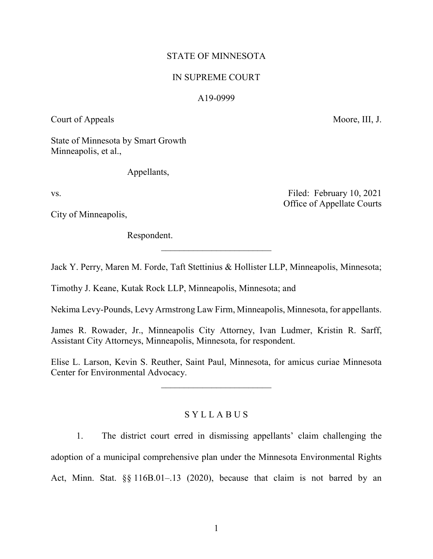# STATE OF MINNESOTA

# IN SUPREME COURT

## A19-0999

Court of Appeals Moore, III, J.

Office of Appellate Courts

State of Minnesota by Smart Growth Minneapolis, et al.,

Appellants,

vs. Tiled: February 10, 2021

City of Minneapolis,

Respondent.

Jack Y. Perry, Maren M. Forde, Taft Stettinius & Hollister LLP, Minneapolis, Minnesota;

 $\overline{\phantom{a}}$  , where  $\overline{\phantom{a}}$ 

Timothy J. Keane, Kutak Rock LLP, Minneapolis, Minnesota; and

Nekima Levy-Pounds, Levy Armstrong Law Firm, Minneapolis, Minnesota, for appellants.

James R. Rowader, Jr., Minneapolis City Attorney, Ivan Ludmer, Kristin R. Sarff, Assistant City Attorneys, Minneapolis, Minnesota, for respondent.

Elise L. Larson, Kevin S. Reuther, Saint Paul, Minnesota, for amicus curiae Minnesota Center for Environmental Advocacy.

 $\frac{1}{2}$  ,  $\frac{1}{2}$  ,  $\frac{1}{2}$  ,  $\frac{1}{2}$  ,  $\frac{1}{2}$  ,  $\frac{1}{2}$  ,  $\frac{1}{2}$  ,  $\frac{1}{2}$  ,  $\frac{1}{2}$  ,  $\frac{1}{2}$  ,  $\frac{1}{2}$  ,  $\frac{1}{2}$  ,  $\frac{1}{2}$  ,  $\frac{1}{2}$  ,  $\frac{1}{2}$  ,  $\frac{1}{2}$  ,  $\frac{1}{2}$  ,  $\frac{1}{2}$  ,  $\frac{1$ 

# S Y L L A B U S

1. The district court erred in dismissing appellants' claim challenging the adoption of a municipal comprehensive plan under the Minnesota Environmental Rights Act, Minn. Stat. §§ 116B.01–.13 (2020), because that claim is not barred by an

1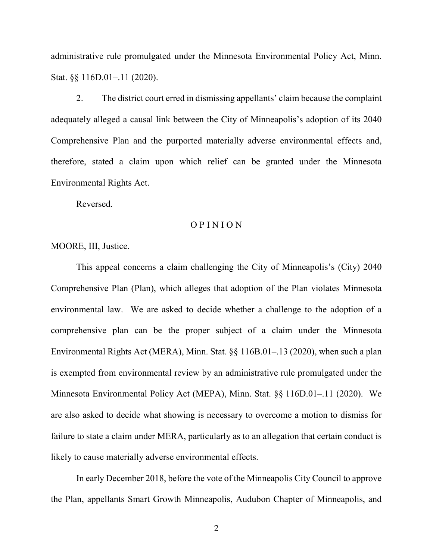administrative rule promulgated under the Minnesota Environmental Policy Act, Minn. Stat. §§ 116D.01–.11 (2020).

2. The district court erred in dismissing appellants' claim because the complaint adequately alleged a causal link between the City of Minneapolis's adoption of its 2040 Comprehensive Plan and the purported materially adverse environmental effects and, therefore, stated a claim upon which relief can be granted under the Minnesota Environmental Rights Act.

Reversed.

#### O P I N I O N

MOORE, III, Justice.

This appeal concerns a claim challenging the City of Minneapolis's (City) 2040 Comprehensive Plan (Plan), which alleges that adoption of the Plan violates Minnesota environmental law. We are asked to decide whether a challenge to the adoption of a comprehensive plan can be the proper subject of a claim under the Minnesota Environmental Rights Act (MERA), Minn. Stat. §§ 116B.01–.13 (2020), when such a plan is exempted from environmental review by an administrative rule promulgated under the Minnesota Environmental Policy Act (MEPA), Minn. Stat. §§ 116D.01–.11 (2020). We are also asked to decide what showing is necessary to overcome a motion to dismiss for failure to state a claim under MERA, particularly as to an allegation that certain conduct is likely to cause materially adverse environmental effects.

In early December 2018, before the vote of the Minneapolis City Council to approve the Plan, appellants Smart Growth Minneapolis, Audubon Chapter of Minneapolis, and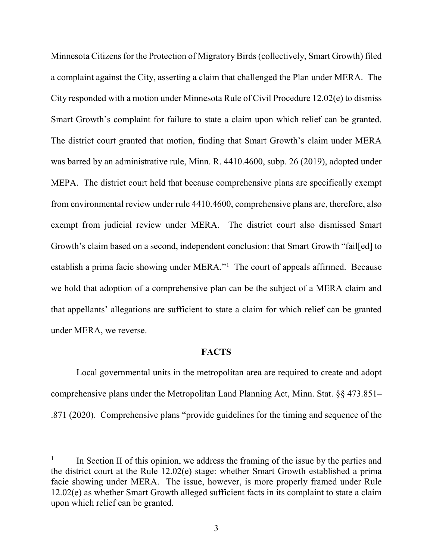Minnesota Citizens for the Protection of Migratory Birds (collectively, Smart Growth) filed a complaint against the City, asserting a claim that challenged the Plan under MERA. The City responded with a motion under Minnesota Rule of Civil Procedure 12.02(e) to dismiss Smart Growth's complaint for failure to state a claim upon which relief can be granted. The district court granted that motion, finding that Smart Growth's claim under MERA was barred by an administrative rule, Minn. R. 4410.4600, subp. 26 (2019), adopted under MEPA. The district court held that because comprehensive plans are specifically exempt from environmental review under rule 4410.4600, comprehensive plans are, therefore, also exempt from judicial review under MERA. The district court also dismissed Smart Growth's claim based on a second, independent conclusion: that Smart Growth "fail[ed] to establish a prima facie showing under MERA."<sup>[1](#page-2-0)</sup> The court of appeals affirmed. Because we hold that adoption of a comprehensive plan can be the subject of a MERA claim and that appellants' allegations are sufficient to state a claim for which relief can be granted under MERA, we reverse.

## **FACTS**

Local governmental units in the metropolitan area are required to create and adopt comprehensive plans under the Metropolitan Land Planning Act, Minn. Stat. §§ 473.851– .871 (2020). Comprehensive plans "provide guidelines for the timing and sequence of the

<span id="page-2-0"></span>In Section II of this opinion, we address the framing of the issue by the parties and the district court at the Rule 12.02(e) stage: whether Smart Growth established a prima facie showing under MERA. The issue, however, is more properly framed under Rule 12.02(e) as whether Smart Growth alleged sufficient facts in its complaint to state a claim upon which relief can be granted.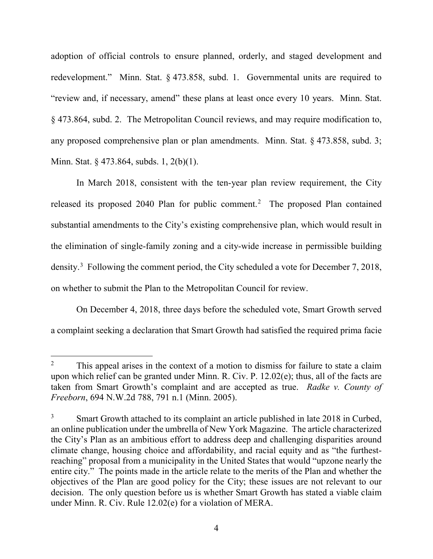adoption of official controls to ensure planned, orderly, and staged development and redevelopment." Minn. Stat. § 473.858, subd. 1. Governmental units are required to "review and, if necessary, amend" these plans at least once every 10 years. Minn. Stat. § 473.864, subd. 2. The Metropolitan Council reviews, and may require modification to, any proposed comprehensive plan or plan amendments. Minn. Stat. § 473.858, subd. 3; Minn. Stat. § 473.864, subds. 1, 2(b)(1).

In March 2018, consistent with the ten-year plan review requirement, the City released its proposed [2](#page-3-0)040 Plan for public comment.<sup>2</sup> The proposed Plan contained substantial amendments to the City's existing comprehensive plan, which would result in the elimination of single-family zoning and a city-wide increase in permissible building density.<sup>[3](#page-3-1)</sup> Following the comment period, the City scheduled a vote for December 7, 2018, on whether to submit the Plan to the Metropolitan Council for review.

On December 4, 2018, three days before the scheduled vote, Smart Growth served a complaint seeking a declaration that Smart Growth had satisfied the required prima facie

<span id="page-3-0"></span><sup>&</sup>lt;sup>2</sup> This appeal arises in the context of a motion to dismiss for failure to state a claim upon which relief can be granted under Minn. R. Civ. P. 12.02(e); thus, all of the facts are taken from Smart Growth's complaint and are accepted as true. *Radke v. County of Freeborn*, 694 N.W.2d 788, 791 n.1 (Minn. 2005).

<span id="page-3-1"></span><sup>&</sup>lt;sup>3</sup> Smart Growth attached to its complaint an article published in late 2018 in Curbed, an online publication under the umbrella of New York Magazine. The article characterized the City's Plan as an ambitious effort to address deep and challenging disparities around climate change, housing choice and affordability, and racial equity and as "the furthestreaching" proposal from a municipality in the United States that would "upzone nearly the entire city." The points made in the article relate to the merits of the Plan and whether the objectives of the Plan are good policy for the City; these issues are not relevant to our decision. The only question before us is whether Smart Growth has stated a viable claim under Minn. R. Civ. Rule 12.02(e) for a violation of MERA.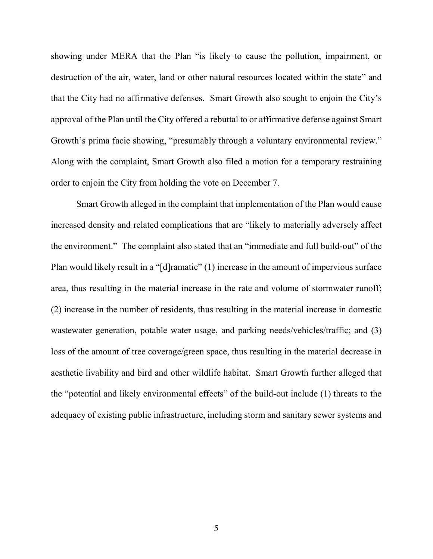showing under MERA that the Plan "is likely to cause the pollution, impairment, or destruction of the air, water, land or other natural resources located within the state" and that the City had no affirmative defenses. Smart Growth also sought to enjoin the City's approval of the Plan until the City offered a rebuttal to or affirmative defense against Smart Growth's prima facie showing, "presumably through a voluntary environmental review." Along with the complaint, Smart Growth also filed a motion for a temporary restraining order to enjoin the City from holding the vote on December 7.

Smart Growth alleged in the complaint that implementation of the Plan would cause increased density and related complications that are "likely to materially adversely affect the environment." The complaint also stated that an "immediate and full build-out" of the Plan would likely result in a "[d]ramatic" (1) increase in the amount of impervious surface area, thus resulting in the material increase in the rate and volume of stormwater runoff; (2) increase in the number of residents, thus resulting in the material increase in domestic wastewater generation, potable water usage, and parking needs/vehicles/traffic; and (3) loss of the amount of tree coverage/green space, thus resulting in the material decrease in aesthetic livability and bird and other wildlife habitat. Smart Growth further alleged that the "potential and likely environmental effects" of the build-out include (1) threats to the adequacy of existing public infrastructure, including storm and sanitary sewer systems and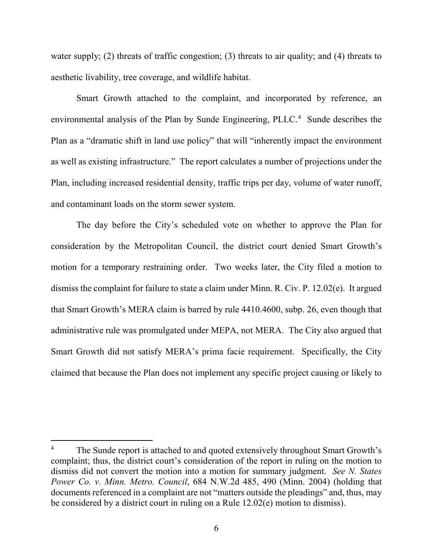water supply; (2) threats of traffic congestion; (3) threats to air quality; and (4) threats to aesthetic livability, tree coverage, and wildlife habitat.

Smart Growth attached to the complaint, and incorporated by reference, an environmental analysis of the Plan by Sunde Engineering, PLLC.<sup>[4](#page-5-0)</sup> Sunde describes the Plan as a "dramatic shift in land use policy" that will "inherently impact the environment as well as existing infrastructure." The report calculates a number of projections under the Plan, including increased residential density, traffic trips per day, volume of water runoff, and contaminant loads on the storm sewer system.

The day before the City's scheduled vote on whether to approve the Plan for consideration by the Metropolitan Council, the district court denied Smart Growth's motion for a temporary restraining order. Two weeks later, the City filed a motion to dismiss the complaint for failure to state a claim under Minn. R. Civ. P. 12.02(e). It argued that Smart Growth's MERA claim is barred by rule 4410.4600, subp. 26, even though that administrative rule was promulgated under MEPA, not MERA. The City also argued that Smart Growth did not satisfy MERA's prima facie requirement. Specifically, the City claimed that because the Plan does not implement any specific project causing or likely to

<span id="page-5-0"></span><sup>&</sup>lt;sup>4</sup> The Sunde report is attached to and quoted extensively throughout Smart Growth's complaint; thus, the district court's consideration of the report in ruling on the motion to dismiss did not convert the motion into a motion for summary judgment. *See N. States Power Co. v. Minn. Metro. Council*, 684 N.W.2d 485, 490 (Minn. 2004) (holding that documents referenced in a complaint are not "matters outside the pleadings" and, thus, may be considered by a district court in ruling on a Rule 12.02(e) motion to dismiss).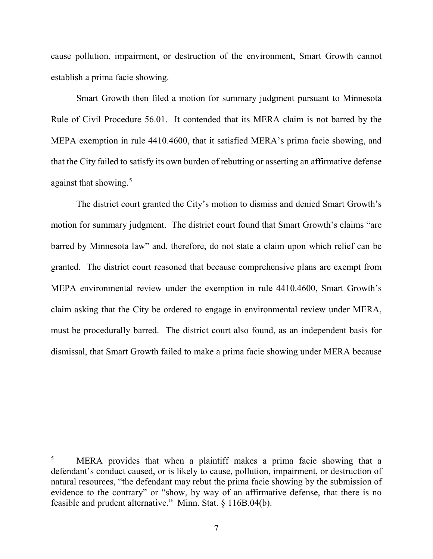cause pollution, impairment, or destruction of the environment, Smart Growth cannot establish a prima facie showing.

Smart Growth then filed a motion for summary judgment pursuant to Minnesota Rule of Civil Procedure 56.01. It contended that its MERA claim is not barred by the MEPA exemption in rule 4410.4600, that it satisfied MERA's prima facie showing, and that the City failed to satisfy its own burden of rebutting or asserting an affirmative defense against that showing.<sup>[5](#page-6-0)</sup>

The district court granted the City's motion to dismiss and denied Smart Growth's motion for summary judgment. The district court found that Smart Growth's claims "are barred by Minnesota law" and, therefore, do not state a claim upon which relief can be granted. The district court reasoned that because comprehensive plans are exempt from MEPA environmental review under the exemption in rule 4410.4600, Smart Growth's claim asking that the City be ordered to engage in environmental review under MERA, must be procedurally barred. The district court also found, as an independent basis for dismissal, that Smart Growth failed to make a prima facie showing under MERA because

<span id="page-6-0"></span>MERA provides that when a plaintiff makes a prima facie showing that a defendant's conduct caused, or is likely to cause, pollution, impairment, or destruction of natural resources, "the defendant may rebut the prima facie showing by the submission of evidence to the contrary" or "show, by way of an affirmative defense, that there is no feasible and prudent alternative." Minn. Stat. § 116B.04(b).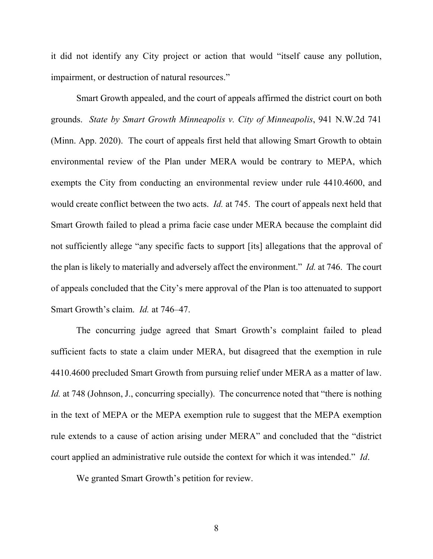it did not identify any City project or action that would "itself cause any pollution, impairment, or destruction of natural resources."

Smart Growth appealed, and the court of appeals affirmed the district court on both grounds. *State by Smart Growth Minneapolis v. City of Minneapolis*, 941 N.W.2d 741 (Minn. App. 2020). The court of appeals first held that allowing Smart Growth to obtain environmental review of the Plan under MERA would be contrary to MEPA, which exempts the City from conducting an environmental review under rule 4410.4600, and would create conflict between the two acts. *Id.* at 745. The court of appeals next held that Smart Growth failed to plead a prima facie case under MERA because the complaint did not sufficiently allege "any specific facts to support [its] allegations that the approval of the plan is likely to materially and adversely affect the environment." *Id.* at 746. The court of appeals concluded that the City's mere approval of the Plan is too attenuated to support Smart Growth's claim. *Id.* at 746–47.

The concurring judge agreed that Smart Growth's complaint failed to plead sufficient facts to state a claim under MERA, but disagreed that the exemption in rule 4410.4600 precluded Smart Growth from pursuing relief under MERA as a matter of law. *Id.* at 748 (Johnson, J., concurring specially). The concurrence noted that "there is nothing in the text of MEPA or the MEPA exemption rule to suggest that the MEPA exemption rule extends to a cause of action arising under MERA" and concluded that the "district court applied an administrative rule outside the context for which it was intended." *Id*.

We granted Smart Growth's petition for review.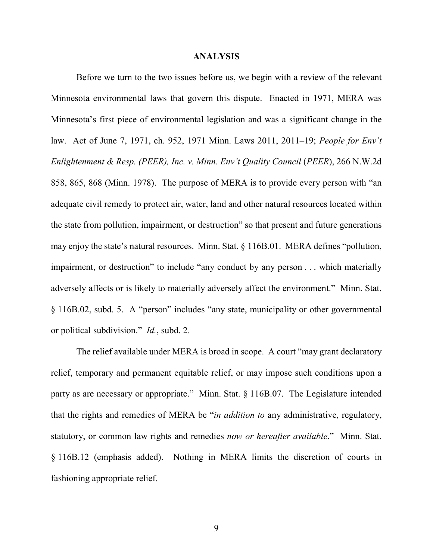#### **ANALYSIS**

Before we turn to the two issues before us, we begin with a review of the relevant Minnesota environmental laws that govern this dispute. Enacted in 1971, MERA was Minnesota's first piece of environmental legislation and was a significant change in the law. Act of June 7, 1971, ch. 952, 1971 Minn. Laws 2011, 2011–19; *People for Env't Enlightenment & Resp. (PEER), Inc. v. Minn. Env't Quality Council* (*PEER*), 266 N.W.2d 858, 865, 868 (Minn. 1978). The purpose of MERA is to provide every person with "an adequate civil remedy to protect air, water, land and other natural resources located within the state from pollution, impairment, or destruction" so that present and future generations may enjoy the state's natural resources. Minn. Stat. § 116B.01. MERA defines "pollution, impairment, or destruction" to include "any conduct by any person . . . which materially adversely affects or is likely to materially adversely affect the environment." Minn. Stat. § 116B.02, subd. 5. A "person" includes "any state, municipality or other governmental or political subdivision." *Id.*, subd. 2.

The relief available under MERA is broad in scope. A court "may grant declaratory relief, temporary and permanent equitable relief, or may impose such conditions upon a party as are necessary or appropriate." Minn. Stat. § 116B.07. The Legislature intended that the rights and remedies of MERA be "*in addition to* any administrative, regulatory, statutory, or common law rights and remedies *now or hereafter available*." Minn. Stat. § 116B.12 (emphasis added). Nothing in MERA limits the discretion of courts in fashioning appropriate relief.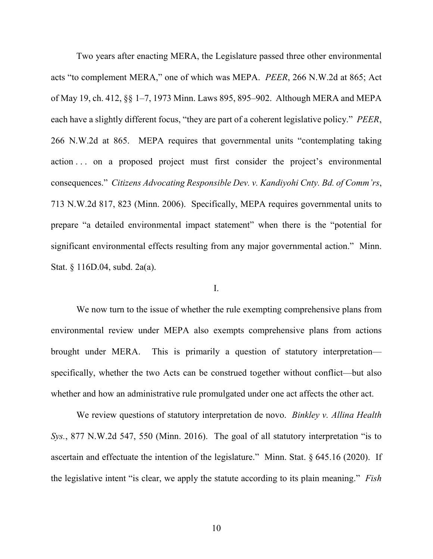Two years after enacting MERA, the Legislature passed three other environmental acts "to complement MERA," one of which was MEPA. *PEER*, 266 N.W.2d at 865; Act of May 19, ch. 412, §§ 1‒7, 1973 Minn. Laws 895, 895‒902. Although MERA and MEPA each have a slightly different focus, "they are part of a coherent legislative policy." *PEER*, 266 N.W.2d at 865. MEPA requires that governmental units "contemplating taking action ... on a proposed project must first consider the project's environmental consequences." *Citizens Advocating Responsible Dev. v. Kandiyohi Cnty. Bd. of Comm'rs*, 713 N.W.2d 817, 823 (Minn. 2006). Specifically, MEPA requires governmental units to prepare "a detailed environmental impact statement" when there is the "potential for significant environmental effects resulting from any major governmental action." Minn. Stat. § 116D.04, subd. 2a(a).

### I.

We now turn to the issue of whether the rule exempting comprehensive plans from environmental review under MEPA also exempts comprehensive plans from actions brought under MERA. This is primarily a question of statutory interpretation specifically, whether the two Acts can be construed together without conflict—but also whether and how an administrative rule promulgated under one act affects the other act.

We review questions of statutory interpretation de novo. *Binkley v. Allina Health Sys.*, 877 N.W.2d 547, 550 (Minn. 2016). The goal of all statutory interpretation "is to ascertain and effectuate the intention of the legislature." Minn. Stat. § 645.16 (2020). If the legislative intent "is clear, we apply the statute according to its plain meaning." *Fish*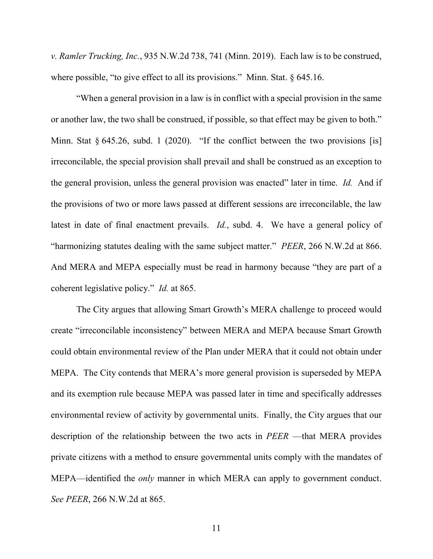*v. Ramler Trucking, Inc.*, 935 N.W.2d 738, 741 (Minn. 2019). Each law is to be construed, where possible, "to give effect to all its provisions." Minn. Stat. § 645.16.

"When a general provision in a law is in conflict with a special provision in the same or another law, the two shall be construed, if possible, so that effect may be given to both." Minn. Stat § 645.26, subd. 1 (2020). "If the conflict between the two provisions [is] irreconcilable, the special provision shall prevail and shall be construed as an exception to the general provision, unless the general provision was enacted" later in time. *Id.* And if the provisions of two or more laws passed at different sessions are irreconcilable, the law latest in date of final enactment prevails. *Id.*, subd. 4. We have a general policy of "harmonizing statutes dealing with the same subject matter." *PEER*, 266 N.W.2d at 866. And MERA and MEPA especially must be read in harmony because "they are part of a coherent legislative policy." *Id.* at 865.

The City argues that allowing Smart Growth's MERA challenge to proceed would create "irreconcilable inconsistency" between MERA and MEPA because Smart Growth could obtain environmental review of the Plan under MERA that it could not obtain under MEPA. The City contends that MERA's more general provision is superseded by MEPA and its exemption rule because MEPA was passed later in time and specifically addresses environmental review of activity by governmental units. Finally, the City argues that our description of the relationship between the two acts in *PEER* —that MERA provides private citizens with a method to ensure governmental units comply with the mandates of MEPA—identified the *only* manner in which MERA can apply to government conduct. *See PEER*, 266 N.W.2d at 865.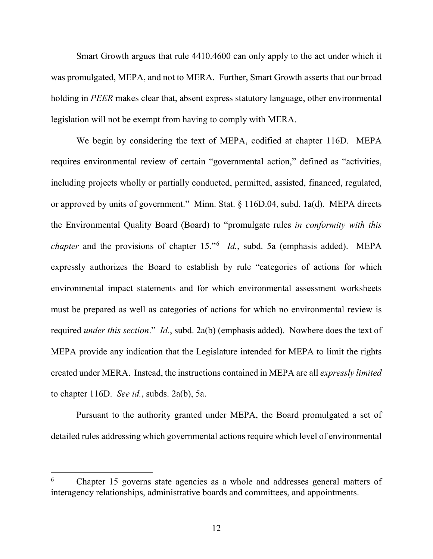Smart Growth argues that rule 4410.4600 can only apply to the act under which it was promulgated, MEPA, and not to MERA. Further, Smart Growth asserts that our broad holding in *PEER* makes clear that, absent express statutory language, other environmental legislation will not be exempt from having to comply with MERA.

We begin by considering the text of MEPA, codified at chapter 116D. MEPA requires environmental review of certain "governmental action," defined as "activities, including projects wholly or partially conducted, permitted, assisted, financed, regulated, or approved by units of government." Minn. Stat. § 116D.04, subd. 1a(d). MEPA directs the Environmental Quality Board (Board) to "promulgate rules *in conformity with this chapter* and the provisions of chapter 15."[6](#page-11-0) *Id.*, subd. 5a (emphasis added). MEPA expressly authorizes the Board to establish by rule "categories of actions for which environmental impact statements and for which environmental assessment worksheets must be prepared as well as categories of actions for which no environmental review is required *under this section*." *Id.*, subd. 2a(b) (emphasis added). Nowhere does the text of MEPA provide any indication that the Legislature intended for MEPA to limit the rights created under MERA. Instead, the instructions contained in MEPA are all *expressly limited* to chapter 116D. *See id.*, subds. 2a(b), 5a.

Pursuant to the authority granted under MEPA, the Board promulgated a set of detailed rules addressing which governmental actions require which level of environmental

<span id="page-11-0"></span> <sup>6</sup> Chapter 15 governs state agencies as a whole and addresses general matters of interagency relationships, administrative boards and committees, and appointments.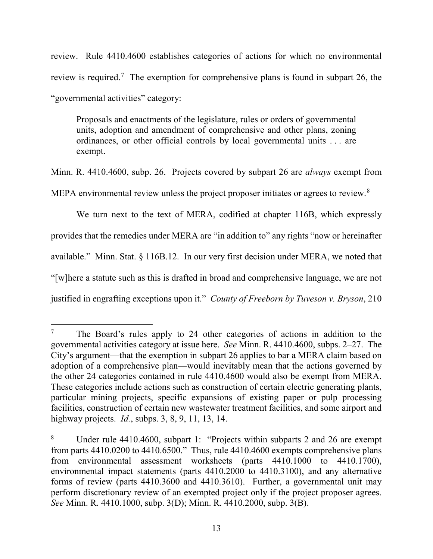review. Rule 4410.4600 establishes categories of actions for which no environmental review is required.<sup>[7](#page-12-0)</sup> The exemption for comprehensive plans is found in subpart 26, the "governmental activities" category:

Proposals and enactments of the legislature, rules or orders of governmental units, adoption and amendment of comprehensive and other plans, zoning ordinances, or other official controls by local governmental units . . . are exempt.

Minn. R. 4410.4600, subp. 26. Projects covered by subpart 26 are *always* exempt from MEPA environmental review unless the project proposer initiates or agrees to review. $8$ 

We turn next to the text of MERA, codified at chapter 116B, which expressly provides that the remedies under MERA are "in addition to" any rights "now or hereinafter available." Minn. Stat. § 116B.12. In our very first decision under MERA, we noted that "[w]here a statute such as this is drafted in broad and comprehensive language, we are not justified in engrafting exceptions upon it." *County of Freeborn by Tuveson v. Bryson*, 210

<span id="page-12-0"></span><sup>&</sup>lt;sup>7</sup> The Board's rules apply to 24 other categories of actions in addition to the governmental activities category at issue here. *See* Minn. R. 4410.4600, subps. 2‒27. The City's argument—that the exemption in subpart 26 applies to bar a MERA claim based on adoption of a comprehensive plan—would inevitably mean that the actions governed by the other 24 categories contained in rule 4410.4600 would also be exempt from MERA. These categories include actions such as construction of certain electric generating plants, particular mining projects, specific expansions of existing paper or pulp processing facilities, construction of certain new wastewater treatment facilities, and some airport and highway projects. *Id.*, subps. 3, 8, 9, 11, 13, 14.

<span id="page-12-1"></span><sup>8</sup> Under rule 4410.4600, subpart 1: "Projects within subparts 2 and 26 are exempt from parts 4410.0200 to 4410.6500." Thus, rule 4410.4600 exempts comprehensive plans from environmental assessment worksheets (parts 4410.1000 to 4410.1700), environmental impact statements (parts 4410.2000 to 4410.3100), and any alternative forms of review (parts 4410.3600 and 4410.3610). Further, a governmental unit may perform discretionary review of an exempted project only if the project proposer agrees. *See* Minn. R. 4410.1000, subp. 3(D); Minn. R. 4410.2000, subp. 3(B).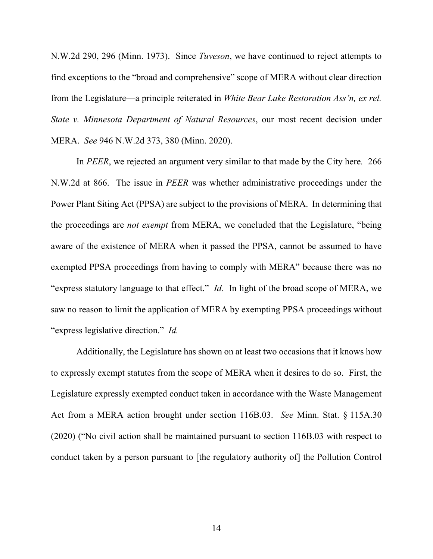N.W.2d 290, 296 (Minn. 1973). Since *Tuveson*, we have continued to reject attempts to find exceptions to the "broad and comprehensive" scope of MERA without clear direction from the Legislature—a principle reiterated in *White Bear Lake Restoration Ass'n, ex rel. State v. Minnesota Department of Natural Resources*, our most recent decision under MERA. *See* 946 N.W.2d 373, 380 (Minn. 2020).

In *PEER*, we rejected an argument very similar to that made by the City here*.* 266 N.W.2d at 866. The issue in *PEER* was whether administrative proceedings under the Power Plant Siting Act (PPSA) are subject to the provisions of MERA. In determining that the proceedings are *not exempt* from MERA, we concluded that the Legislature, "being aware of the existence of MERA when it passed the PPSA, cannot be assumed to have exempted PPSA proceedings from having to comply with MERA" because there was no "express statutory language to that effect." *Id.* In light of the broad scope of MERA, we saw no reason to limit the application of MERA by exempting PPSA proceedings without "express legislative direction." *Id.*

Additionally, the Legislature has shown on at least two occasions that it knows how to expressly exempt statutes from the scope of MERA when it desires to do so. First, the Legislature expressly exempted conduct taken in accordance with the Waste Management Act from a MERA action brought under section 116B.03. *See* Minn. Stat. § 115A.30 (2020) ("No civil action shall be maintained pursuant to section 116B.03 with respect to conduct taken by a person pursuant to [the regulatory authority of] the Pollution Control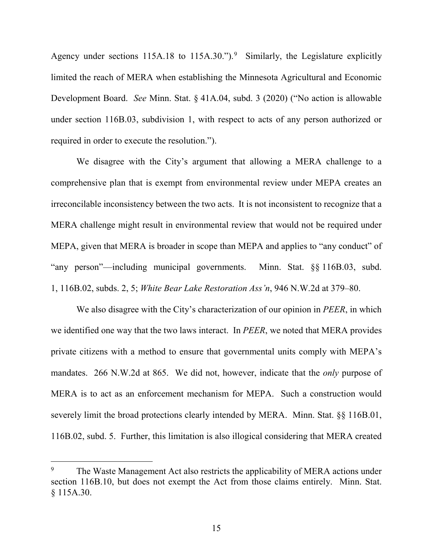Agency under sections 115A.18 to 115A.30.").<sup>[9](#page-14-0)</sup> Similarly, the Legislature explicitly limited the reach of MERA when establishing the Minnesota Agricultural and Economic Development Board. *See* Minn. Stat. § 41A.04, subd. 3 (2020) ("No action is allowable under section 116B.03, subdivision 1, with respect to acts of any person authorized or required in order to execute the resolution.").

We disagree with the City's argument that allowing a MERA challenge to a comprehensive plan that is exempt from environmental review under MEPA creates an irreconcilable inconsistency between the two acts. It is not inconsistent to recognize that a MERA challenge might result in environmental review that would not be required under MEPA, given that MERA is broader in scope than MEPA and applies to "any conduct" of "any person"—including municipal governments. Minn. Stat. §§ 116B.03, subd. 1, 116B.02, subds. 2, 5; *White Bear Lake Restoration Ass'n*, 946 N.W.2d at 379‒80.

We also disagree with the City's characterization of our opinion in *PEER*, in which we identified one way that the two laws interact. In *PEER*, we noted that MERA provides private citizens with a method to ensure that governmental units comply with MEPA's mandates. 266 N.W.2d at 865. We did not, however, indicate that the *only* purpose of MERA is to act as an enforcement mechanism for MEPA. Such a construction would severely limit the broad protections clearly intended by MERA. Minn. Stat. §§ 116B.01, 116B.02, subd. 5. Further, this limitation is also illogical considering that MERA created

<span id="page-14-0"></span><sup>&</sup>lt;sup>9</sup> The Waste Management Act also restricts the applicability of MERA actions under section 116B.10, but does not exempt the Act from those claims entirely. Minn. Stat. § 115A.30.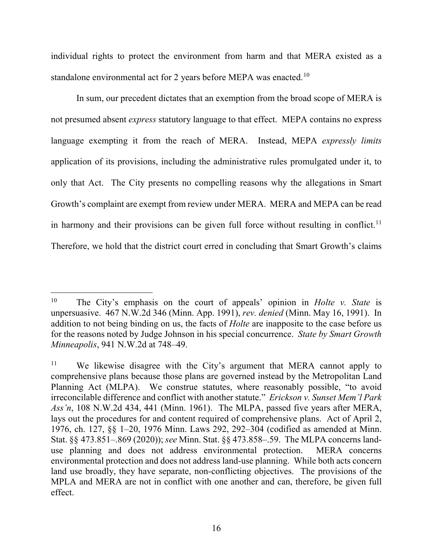individual rights to protect the environment from harm and that MERA existed as a standalone environmental act for 2 years before MEPA was enacted.<sup>[10](#page-15-0)</sup>

In sum, our precedent dictates that an exemption from the broad scope of MERA is not presumed absent *express* statutory language to that effect. MEPA contains no express language exempting it from the reach of MERA. Instead, MEPA *expressly limits* application of its provisions, including the administrative rules promulgated under it, to only that Act. The City presents no compelling reasons why the allegations in Smart Growth's complaint are exempt from review under MERA. MERA and MEPA can be read in harmony and their provisions can be given full force without resulting in conflict.<sup>11</sup> Therefore, we hold that the district court erred in concluding that Smart Growth's claims

<span id="page-15-0"></span> <sup>10</sup> The City's emphasis on the court of appeals' opinion in *Holte v. State* is unpersuasive. 467 N.W.2d 346 (Minn. App. 1991), *rev. denied* (Minn. May 16, 1991). In addition to not being binding on us, the facts of *Holte* are inapposite to the case before us for the reasons noted by Judge Johnson in his special concurrence. *State by Smart Growth Minneapolis*, 941 N.W.2d at 748–49.

<span id="page-15-1"></span><sup>&</sup>lt;sup>11</sup> We likewise disagree with the City's argument that MERA cannot apply to comprehensive plans because those plans are governed instead by the Metropolitan Land Planning Act (MLPA). We construe statutes, where reasonably possible, "to avoid irreconcilable difference and conflict with another statute." *Erickson v. Sunset Mem'l Park Ass'n*, 108 N.W.2d 434, 441 (Minn. 1961). The MLPA, passed five years after MERA, lays out the procedures for and content required of comprehensive plans. Act of April 2, 1976, ch. 127, §§ 1‒20, 1976 Minn. Laws 292, 292‒304 (codified as amended at Minn. Stat. §§ 473.851–.869 (2020)); *see* Minn. Stat. §§ 473.858‒.59. The MLPA concerns landuse planning and does not address environmental protection. MERA concerns environmental protection and does not address land-use planning. While both acts concern land use broadly, they have separate, non-conflicting objectives. The provisions of the MPLA and MERA are not in conflict with one another and can, therefore, be given full effect.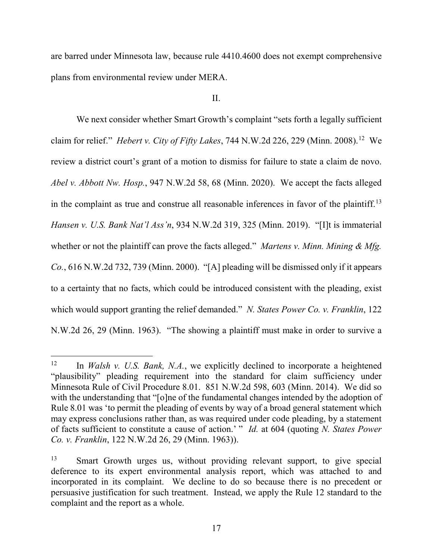are barred under Minnesota law, because rule 4410.4600 does not exempt comprehensive plans from environmental review under MERA.

# II.

We next consider whether Smart Growth's complaint "sets forth a legally sufficient claim for relief." *Hebert v. City of Fifty Lakes*, 744 N.W.2d 226, 229 (Minn. 2008).[12](#page-16-0) We review a district court's grant of a motion to dismiss for failure to state a claim de novo. *Abel v. Abbott Nw. Hosp.*, 947 N.W.2d 58, 68 (Minn. 2020). We accept the facts alleged in the complaint as true and construe all reasonable inferences in favor of the plaintiff.<sup>13</sup> *Hansen v. U.S. Bank Nat'l Ass'n*, 934 N.W.2d 319, 325 (Minn. 2019). "[I]t is immaterial whether or not the plaintiff can prove the facts alleged." *Martens v. Minn. Mining & Mfg. Co.*, 616 N.W.2d 732, 739 (Minn. 2000). "[A] pleading will be dismissed only if it appears to a certainty that no facts, which could be introduced consistent with the pleading, exist which would support granting the relief demanded." *N. States Power Co. v. Franklin*, 122 N.W.2d 26, 29 (Minn. 1963). "The showing a plaintiff must make in order to survive a

<span id="page-16-0"></span> <sup>12</sup> In *Walsh v. U.S. Bank, N.A.*, we explicitly declined to incorporate a heightened "plausibility" pleading requirement into the standard for claim sufficiency under Minnesota Rule of Civil Procedure 8.01. 851 N.W.2d 598, 603 (Minn. 2014). We did so with the understanding that "[o]ne of the fundamental changes intended by the adoption of Rule 8.01 was 'to permit the pleading of events by way of a broad general statement which may express conclusions rather than, as was required under code pleading, by a statement of facts sufficient to constitute a cause of action.' " *Id.* at 604 (quoting *N. States Power Co. v. Franklin*, 122 N.W.2d 26, 29 (Minn. 1963)).

<span id="page-16-1"></span><sup>&</sup>lt;sup>13</sup> Smart Growth urges us, without providing relevant support, to give special deference to its expert environmental analysis report, which was attached to and incorporated in its complaint. We decline to do so because there is no precedent or persuasive justification for such treatment. Instead, we apply the Rule 12 standard to the complaint and the report as a whole.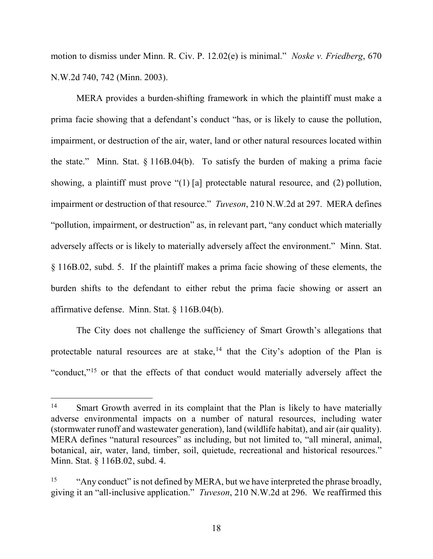motion to dismiss under Minn. R. Civ. P. 12.02(e) is minimal." *Noske v. Friedberg*, 670 N.W.2d 740, 742 (Minn. 2003).

MERA provides a burden-shifting framework in which the plaintiff must make a prima facie showing that a defendant's conduct "has, or is likely to cause the pollution, impairment, or destruction of the air, water, land or other natural resources located within the state." Minn. Stat. § 116B.04(b). To satisfy the burden of making a prima facie showing, a plaintiff must prove "(1) [a] protectable natural resource, and (2) pollution, impairment or destruction of that resource." *Tuveson*, 210 N.W.2d at 297. MERA defines "pollution, impairment, or destruction" as, in relevant part, "any conduct which materially adversely affects or is likely to materially adversely affect the environment." Minn. Stat. § 116B.02, subd. 5. If the plaintiff makes a prima facie showing of these elements, the burden shifts to the defendant to either rebut the prima facie showing or assert an affirmative defense. Minn. Stat. § 116B.04(b).

The City does not challenge the sufficiency of Smart Growth's allegations that protectable natural resources are at stake, <sup>[14](#page-17-0)</sup> that the City's adoption of the Plan is "conduct,"<sup>[15](#page-17-1)</sup> or that the effects of that conduct would materially adversely affect the

<span id="page-17-0"></span><sup>&</sup>lt;sup>14</sup> Smart Growth averred in its complaint that the Plan is likely to have materially adverse environmental impacts on a number of natural resources, including water (stormwater runoff and wastewater generation), land (wildlife habitat), and air (air quality). MERA defines "natural resources" as including, but not limited to, "all mineral, animal, botanical, air, water, land, timber, soil, quietude, recreational and historical resources." Minn. Stat. § 116B.02, subd. 4.

<span id="page-17-1"></span><sup>&</sup>lt;sup>15</sup> "Any conduct" is not defined by MERA, but we have interpreted the phrase broadly, giving it an "all-inclusive application." *Tuveson*, 210 N.W.2d at 296. We reaffirmed this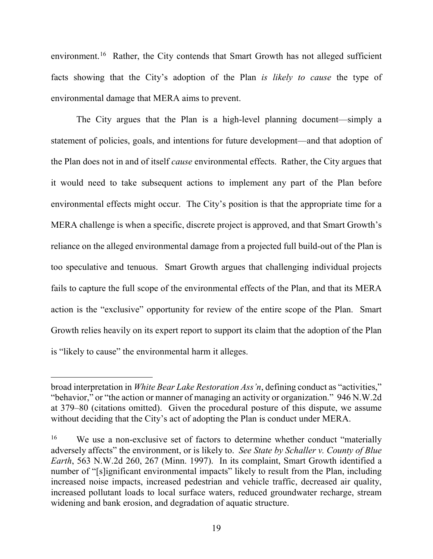environment.<sup>[16](#page-18-0)</sup> Rather, the City contends that Smart Growth has not alleged sufficient facts showing that the City's adoption of the Plan *is likely to cause* the type of environmental damage that MERA aims to prevent.

The City argues that the Plan is a high-level planning document—simply a statement of policies, goals, and intentions for future development—and that adoption of the Plan does not in and of itself *cause* environmental effects. Rather, the City argues that it would need to take subsequent actions to implement any part of the Plan before environmental effects might occur. The City's position is that the appropriate time for a MERA challenge is when a specific, discrete project is approved, and that Smart Growth's reliance on the alleged environmental damage from a projected full build-out of the Plan is too speculative and tenuous. Smart Growth argues that challenging individual projects fails to capture the full scope of the environmental effects of the Plan, and that its MERA action is the "exclusive" opportunity for review of the entire scope of the Plan. Smart Growth relies heavily on its expert report to support its claim that the adoption of the Plan is "likely to cause" the environmental harm it alleges.

 $\overline{a}$ 

broad interpretation in *White Bear Lake Restoration Ass'n*, defining conduct as "activities," "behavior," or "the action or manner of managing an activity or organization." 946 N.W.2d at 379‒80 (citations omitted). Given the procedural posture of this dispute, we assume without deciding that the City's act of adopting the Plan is conduct under MERA.

<span id="page-18-0"></span><sup>&</sup>lt;sup>16</sup> We use a non-exclusive set of factors to determine whether conduct "materially adversely affects" the environment, or is likely to. *See State by Schaller v. County of Blue Earth*, 563 N.W.2d 260, 267 (Minn. 1997). In its complaint, Smart Growth identified a number of "[s]ignificant environmental impacts" likely to result from the Plan, including increased noise impacts, increased pedestrian and vehicle traffic, decreased air quality, increased pollutant loads to local surface waters, reduced groundwater recharge, stream widening and bank erosion, and degradation of aquatic structure.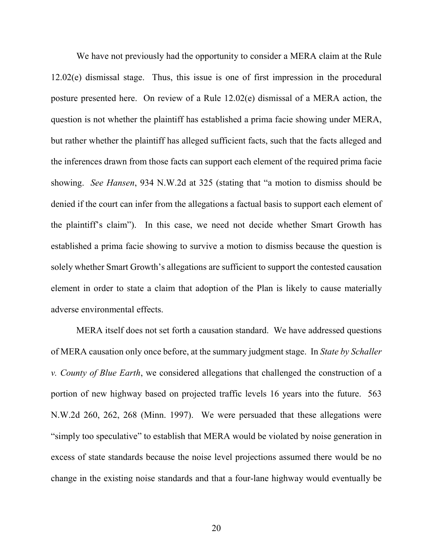We have not previously had the opportunity to consider a MERA claim at the Rule 12.02(e) dismissal stage. Thus, this issue is one of first impression in the procedural posture presented here. On review of a Rule 12.02(e) dismissal of a MERA action, the question is not whether the plaintiff has established a prima facie showing under MERA, but rather whether the plaintiff has alleged sufficient facts, such that the facts alleged and the inferences drawn from those facts can support each element of the required prima facie showing. *See Hansen*, 934 N.W.2d at 325 (stating that "a motion to dismiss should be denied if the court can infer from the allegations a factual basis to support each element of the plaintiff's claim"). In this case, we need not decide whether Smart Growth has established a prima facie showing to survive a motion to dismiss because the question is solely whether Smart Growth's allegations are sufficient to support the contested causation element in order to state a claim that adoption of the Plan is likely to cause materially adverse environmental effects.

MERA itself does not set forth a causation standard. We have addressed questions of MERA causation only once before, at the summary judgment stage. In *State by Schaller v. County of Blue Earth*, we considered allegations that challenged the construction of a portion of new highway based on projected traffic levels 16 years into the future. 563 N.W.2d 260, 262, 268 (Minn. 1997). We were persuaded that these allegations were "simply too speculative" to establish that MERA would be violated by noise generation in excess of state standards because the noise level projections assumed there would be no change in the existing noise standards and that a four-lane highway would eventually be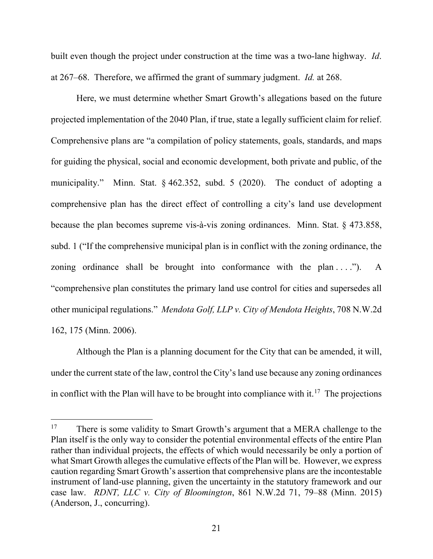built even though the project under construction at the time was a two-lane highway. *Id*. at 267‒68. Therefore, we affirmed the grant of summary judgment. *Id.* at 268.

Here, we must determine whether Smart Growth's allegations based on the future projected implementation of the 2040 Plan, if true, state a legally sufficient claim for relief. Comprehensive plans are "a compilation of policy statements, goals, standards, and maps for guiding the physical, social and economic development, both private and public, of the municipality." Minn. Stat. § 462.352, subd. 5 (2020). The conduct of adopting a comprehensive plan has the direct effect of controlling a city's land use development because the plan becomes supreme vis-à-vis zoning ordinances. Minn. Stat. § 473.858, subd. 1 ("If the comprehensive municipal plan is in conflict with the zoning ordinance, the zoning ordinance shall be brought into conformance with the plan  $\dots$ "). A "comprehensive plan constitutes the primary land use control for cities and supersedes all other municipal regulations." *Mendota Golf, LLP v. City of Mendota Heights*, 708 N.W.2d 162, 175 (Minn. 2006).

Although the Plan is a planning document for the City that can be amended, it will, under the current state of the law, control the City's land use because any zoning ordinances in conflict with the Plan will have to be brought into compliance with it.<sup>[17](#page-20-0)</sup> The projections

<span id="page-20-0"></span><sup>&</sup>lt;sup>17</sup> There is some validity to Smart Growth's argument that a MERA challenge to the Plan itself is the only way to consider the potential environmental effects of the entire Plan rather than individual projects, the effects of which would necessarily be only a portion of what Smart Growth alleges the cumulative effects of the Plan will be. However, we express caution regarding Smart Growth's assertion that comprehensive plans are the incontestable instrument of land-use planning, given the uncertainty in the statutory framework and our case law. *RDNT, LLC v. City of Bloomington*, 861 N.W.2d 71, 79‒88 (Minn. 2015) (Anderson, J., concurring).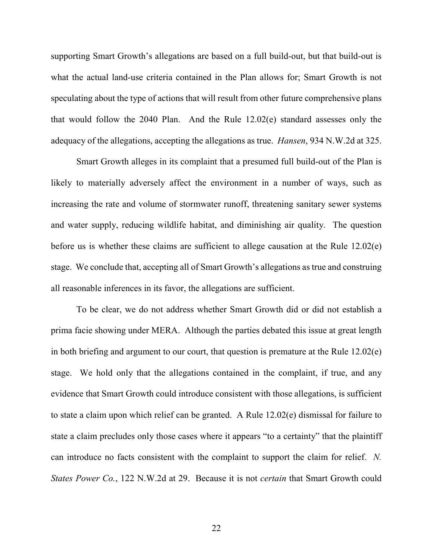supporting Smart Growth's allegations are based on a full build-out, but that build-out is what the actual land-use criteria contained in the Plan allows for; Smart Growth is not speculating about the type of actions that will result from other future comprehensive plans that would follow the 2040 Plan. And the Rule 12.02(e) standard assesses only the adequacy of the allegations, accepting the allegations as true. *Hansen*, 934 N.W.2d at 325.

Smart Growth alleges in its complaint that a presumed full build-out of the Plan is likely to materially adversely affect the environment in a number of ways, such as increasing the rate and volume of stormwater runoff, threatening sanitary sewer systems and water supply, reducing wildlife habitat, and diminishing air quality. The question before us is whether these claims are sufficient to allege causation at the Rule 12.02(e) stage. We conclude that, accepting all of Smart Growth's allegations as true and construing all reasonable inferences in its favor, the allegations are sufficient.

To be clear, we do not address whether Smart Growth did or did not establish a prima facie showing under MERA. Although the parties debated this issue at great length in both briefing and argument to our court, that question is premature at the Rule 12.02(e) stage. We hold only that the allegations contained in the complaint, if true, and any evidence that Smart Growth could introduce consistent with those allegations, is sufficient to state a claim upon which relief can be granted. A Rule 12.02(e) dismissal for failure to state a claim precludes only those cases where it appears "to a certainty" that the plaintiff can introduce no facts consistent with the complaint to support the claim for relief. *N. States Power Co.*, 122 N.W.2d at 29. Because it is not *certain* that Smart Growth could